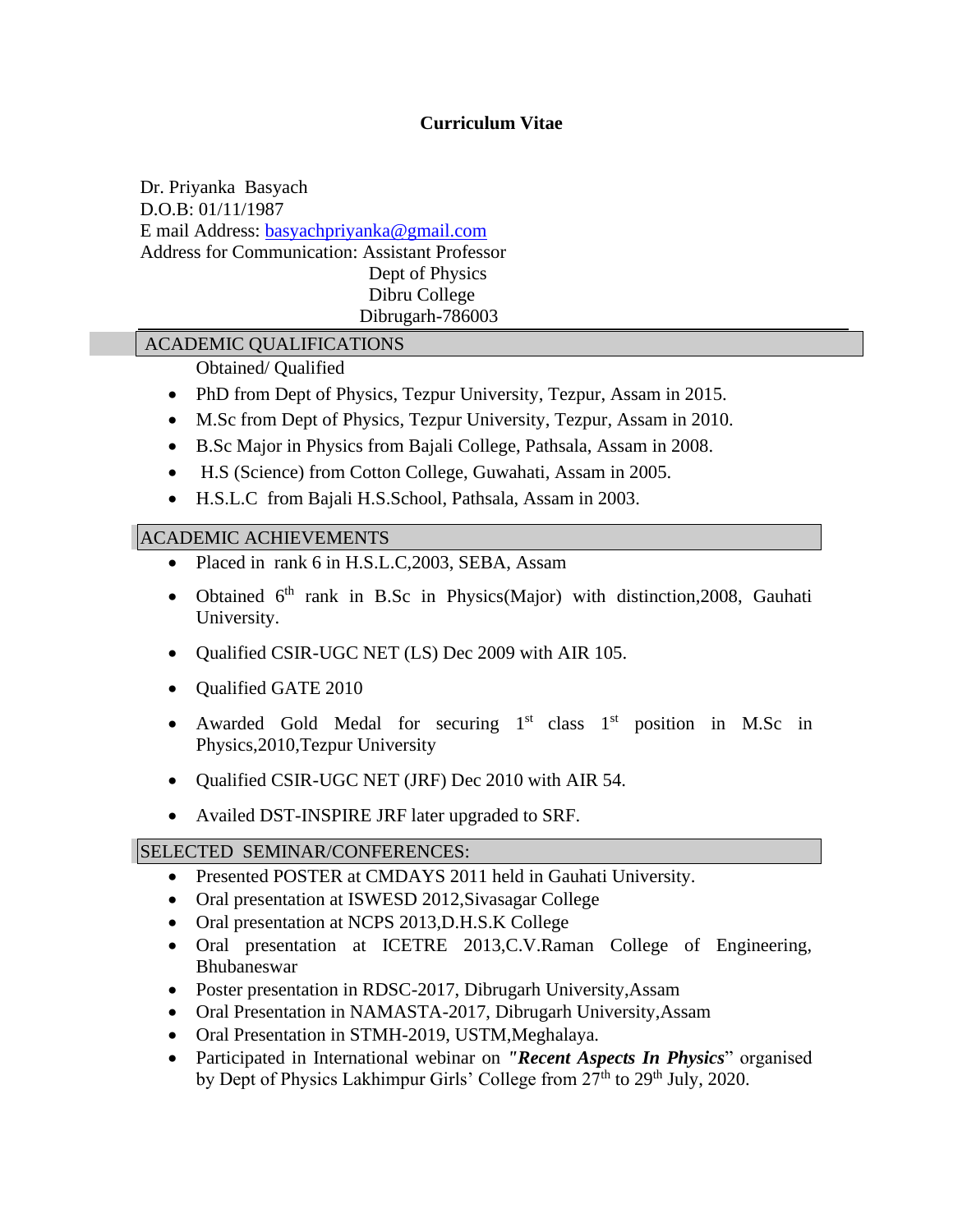# **Curriculum Vitae**

Dr. Priyanka Basyach D.O.B: 01/11/1987 E mail Address: [basyachpriyanka@gmail.com](mailto:basyachpriyanka@gmail.com) Address for Communication: Assistant Professor Dept of Physics Dibru College Dibrugarh-786003

## ACADEMIC QUALIFICATIONS

Obtained/ Qualified

- PhD from Dept of Physics, Tezpur University, Tezpur, Assam in 2015.
- M.Sc from Dept of Physics, Tezpur University, Tezpur, Assam in 2010.
- B.Sc Major in Physics from Bajali College, Pathsala, Assam in 2008.
- H.S (Science) from Cotton College, Guwahati, Assam in 2005.
- H.S.L.C from Bajali H.S.School, Pathsala, Assam in 2003.

### ACADEMIC ACHIEVEMENTS

- Placed in rank 6 in H.S.L.C,2003, SEBA, Assam
- Obtained 6<sup>th</sup> rank in B.Sc in Physics(Major) with distinction, 2008, Gauhati University.
- Qualified CSIR-UGC NET (LS) Dec 2009 with AIR 105.
- Qualified GATE 2010
- Awarded Gold Medal for securing  $1<sup>st</sup>$  class  $1<sup>st</sup>$  position in M.Sc in Physics,2010,Tezpur University
- Qualified CSIR-UGC NET (JRF) Dec 2010 with AIR 54.
- Availed DST-INSPIRE JRF later upgraded to SRF.

## SELECTED SEMINAR/CONFERENCES:

- Presented POSTER at CMDAYS 2011 held in Gauhati University.
- Oral presentation at ISWESD 2012,Sivasagar College
- Oral presentation at NCPS 2013, D.H.S.K College
- Oral presentation at ICETRE 2013,C.V.Raman College of Engineering, Bhubaneswar
- Poster presentation in RDSC-2017, Dibrugarh University, Assam
- Oral Presentation in NAMASTA-2017, Dibrugarh University, Assam
- Oral Presentation in STMH-2019, USTM,Meghalaya.
- Participated in International webinar on *"Recent Aspects In Physics*" organised by Dept of Physics Lakhimpur Girls' College from  $27<sup>th</sup>$  to  $29<sup>th</sup>$  July, 2020.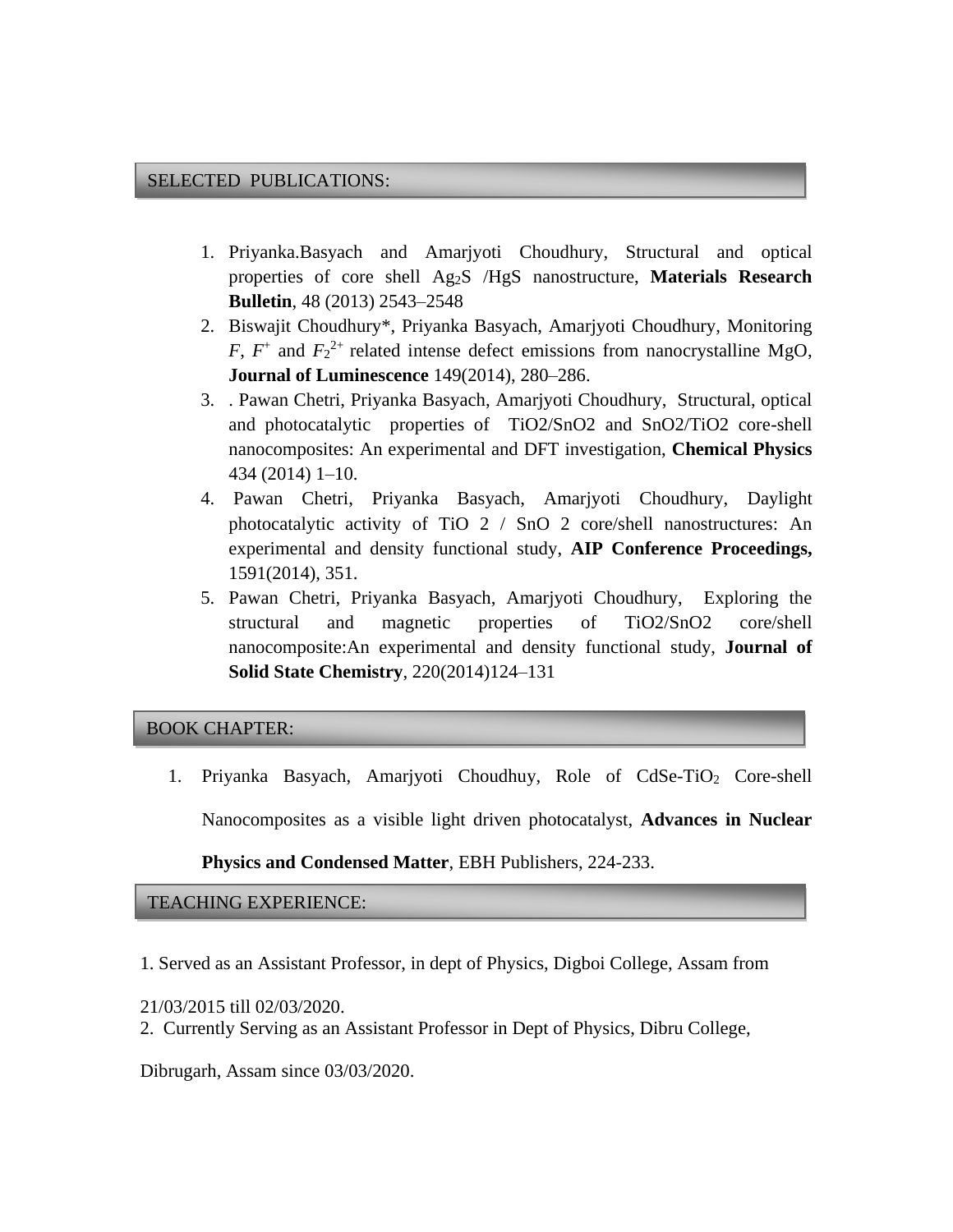#### SELECTED PUBLICATIONS:

- 1. Priyanka.Basyach and Amarjyoti Choudhury, Structural and optical properties of core shell Ag2S /HgS nanostructure, **Materials Research Bulletin**, 48 (2013) 2543–2548
- 2. Biswajit Choudhury\*, Priyanka Basyach, Amarjyoti Choudhury, Monitoring *F*,  $F^+$  and  $F_2^{2+}$  related intense defect emissions from nanocrystalline MgO, **Journal of Luminescence** 149(2014), 280–286.
- 3. . Pawan Chetri, Priyanka Basyach, Amarjyoti Choudhury, Structural, optical and photocatalytic properties of TiO2/SnO2 and SnO2/TiO2 core-shell nanocomposites: An experimental and DFT investigation, **Chemical Physics** 434 (2014) 1–10.
- 4. Pawan Chetri, Priyanka Basyach, Amarjyoti Choudhury, Daylight photocatalytic activity of TiO 2 / SnO 2 core/shell nanostructures: An experimental and density functional study, **AIP Conference Proceedings,** 1591(2014), 351.
- 5. Pawan Chetri, Priyanka Basyach, Amarjyoti Choudhury, Exploring the structural and magnetic properties of TiO2/SnO2 core/shell nanocomposite:An experimental and density functional study, **Journal of Solid State Chemistry**, 220(2014)124–131

### BOOK CHAPTER:

1. Priyanka Basyach, Amarjyoti Choudhuy, Role of CdSe-TiO<sub>2</sub> Core-shell Nanocomposites as a visible light driven photocatalyst, **Advances in Nuclear** 

**Physics and Condensed Matter**, EBH Publishers, 224-233.

## TEACHING EXPERIENCE:

- 1. Served as an Assistant Professor, in dept of Physics, Digboi College, Assam from
- 21/03/2015 till 02/03/2020.
- 2. Currently Serving as an Assistant Professor in Dept of Physics, Dibru College,

Dibrugarh, Assam since 03/03/2020.